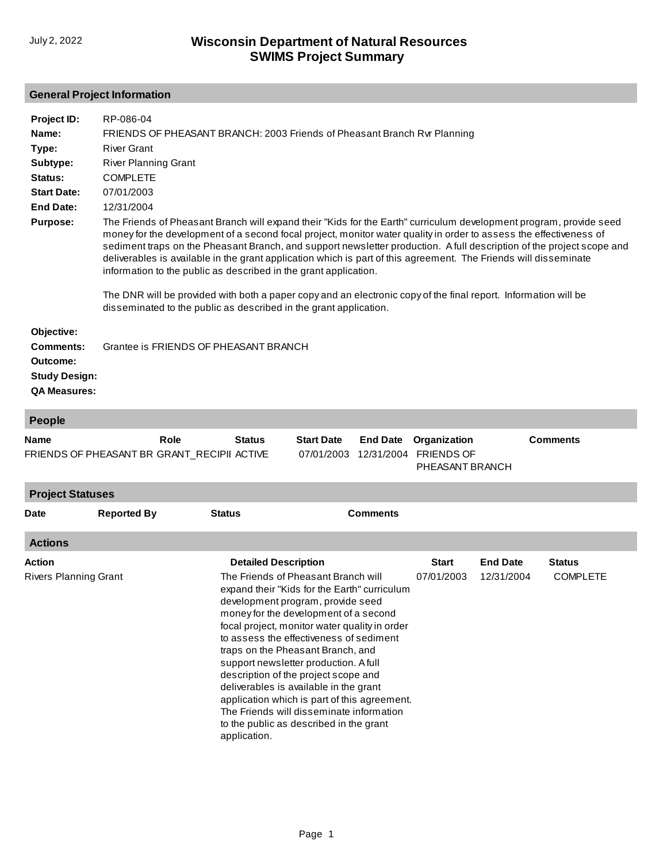## **General Project Information**

| Project ID:                                                        | RP-086-04                                                                                                                                                                                                                                                                                                                                                                                                                                                                                                                                                                                                                                                                                                                                         |
|--------------------------------------------------------------------|---------------------------------------------------------------------------------------------------------------------------------------------------------------------------------------------------------------------------------------------------------------------------------------------------------------------------------------------------------------------------------------------------------------------------------------------------------------------------------------------------------------------------------------------------------------------------------------------------------------------------------------------------------------------------------------------------------------------------------------------------|
| Name:                                                              | FRIENDS OF PHEASANT BRANCH: 2003 Friends of Pheasant Branch Rvr Planning                                                                                                                                                                                                                                                                                                                                                                                                                                                                                                                                                                                                                                                                          |
| Type:                                                              | <b>River Grant</b>                                                                                                                                                                                                                                                                                                                                                                                                                                                                                                                                                                                                                                                                                                                                |
| Subtype:                                                           | <b>River Planning Grant</b>                                                                                                                                                                                                                                                                                                                                                                                                                                                                                                                                                                                                                                                                                                                       |
| Status:                                                            | <b>COMPLETE</b>                                                                                                                                                                                                                                                                                                                                                                                                                                                                                                                                                                                                                                                                                                                                   |
| <b>Start Date:</b>                                                 | 07/01/2003                                                                                                                                                                                                                                                                                                                                                                                                                                                                                                                                                                                                                                                                                                                                        |
| <b>End Date:</b>                                                   | 12/31/2004                                                                                                                                                                                                                                                                                                                                                                                                                                                                                                                                                                                                                                                                                                                                        |
| <b>Purpose:</b>                                                    | The Friends of Pheasant Branch will expand their "Kids for the Earth" curriculum development program, provide seed<br>money for the development of a second focal project, monitor water quality in order to assess the effectiveness of<br>sediment traps on the Pheasant Branch, and support newsletter production. A full description of the project scope and<br>deliverables is available in the grant application which is part of this agreement. The Friends will disseminate<br>information to the public as described in the grant application.<br>The DNR will be provided with both a paper copy and an electronic copy of the final report. Information will be<br>disseminated to the public as described in the grant application. |
| Objective:<br><b>Comments:</b><br>Outcome:<br><b>Study Design:</b> | Grantee is FRIENDS OF PHEASANT BRANCH                                                                                                                                                                                                                                                                                                                                                                                                                                                                                                                                                                                                                                                                                                             |

**QA Measures:**

| <b>People</b>           |                                                     |                             |                                                                                                                                                                                                                                                                                                                                                                                                                                                                                                                           |                               |                                                      |                 |                 |
|-------------------------|-----------------------------------------------------|-----------------------------|---------------------------------------------------------------------------------------------------------------------------------------------------------------------------------------------------------------------------------------------------------------------------------------------------------------------------------------------------------------------------------------------------------------------------------------------------------------------------------------------------------------------------|-------------------------------|------------------------------------------------------|-----------------|-----------------|
| <b>Name</b>             | Role<br>FRIENDS OF PHEASANT BR GRANT_RECIPII ACTIVE | <b>Status</b>               | <b>Start Date</b><br>07/01/2003                                                                                                                                                                                                                                                                                                                                                                                                                                                                                           | <b>End Date</b><br>12/31/2004 | Organization<br><b>FRIENDS OF</b><br>PHEASANT BRANCH |                 | <b>Comments</b> |
| <b>Project Statuses</b> |                                                     |                             |                                                                                                                                                                                                                                                                                                                                                                                                                                                                                                                           |                               |                                                      |                 |                 |
| <b>Date</b>             | <b>Reported By</b>                                  | <b>Status</b>               |                                                                                                                                                                                                                                                                                                                                                                                                                                                                                                                           | <b>Comments</b>               |                                                      |                 |                 |
| <b>Actions</b>          |                                                     |                             |                                                                                                                                                                                                                                                                                                                                                                                                                                                                                                                           |                               |                                                      |                 |                 |
| <b>Action</b>           |                                                     | <b>Detailed Description</b> |                                                                                                                                                                                                                                                                                                                                                                                                                                                                                                                           |                               | <b>Start</b>                                         | <b>End Date</b> | <b>Status</b>   |
| Rivers Planning Grant   |                                                     |                             | The Friends of Pheasant Branch will<br>expand their "Kids for the Earth" curriculum<br>development program, provide seed<br>money for the development of a second<br>focal project, monitor water quality in order<br>to assess the effectiveness of sediment<br>traps on the Pheasant Branch, and<br>support newsletter production. A full<br>description of the project scope and<br>deliverables is available in the grant<br>application which is part of this agreement.<br>The Friends will disseminate information |                               | 07/01/2003                                           | 12/31/2004      | <b>COMPLETE</b> |

to the public as described in the grant

application.

Page 1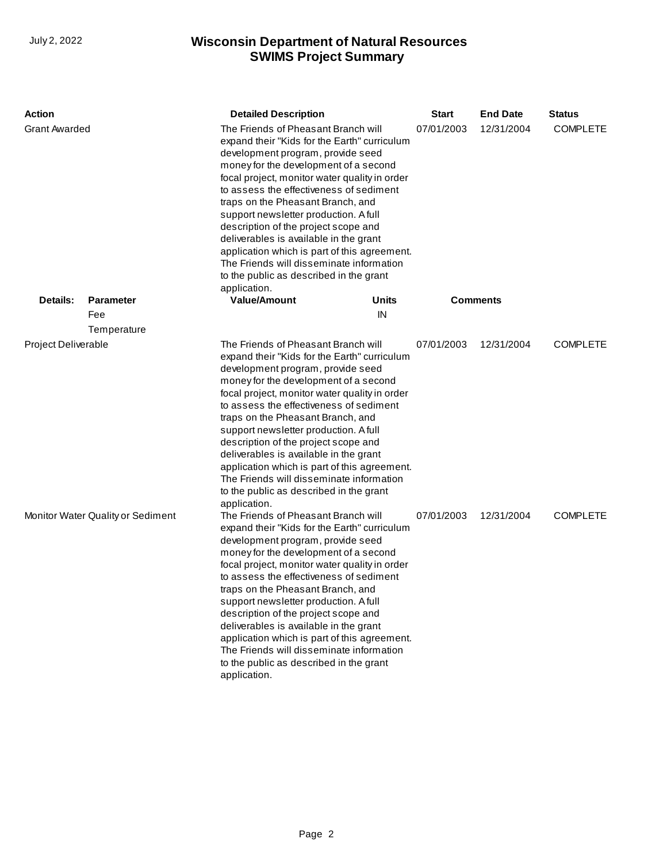## **SWIMS Project Summary** July 2, 2022 **Wisconsin Department of Natural Resources**

| <b>Action</b>                     |                  | <b>Detailed Description</b>                                                                                                                                                                                                                                                                                                                                                                                                                                                                                                                                                          | <b>Start</b> | <b>End Date</b> | <b>Status</b>   |
|-----------------------------------|------------------|--------------------------------------------------------------------------------------------------------------------------------------------------------------------------------------------------------------------------------------------------------------------------------------------------------------------------------------------------------------------------------------------------------------------------------------------------------------------------------------------------------------------------------------------------------------------------------------|--------------|-----------------|-----------------|
| <b>Grant Awarded</b>              |                  | The Friends of Pheasant Branch will<br>expand their "Kids for the Earth" curriculum<br>development program, provide seed<br>money for the development of a second<br>focal project, monitor water quality in order<br>to assess the effectiveness of sediment<br>traps on the Pheasant Branch, and<br>support newsletter production. A full<br>description of the project scope and<br>deliverables is available in the grant<br>application which is part of this agreement.<br>The Friends will disseminate information<br>to the public as described in the grant<br>application. | 07/01/2003   | 12/31/2004      | <b>COMPLETE</b> |
| Details:                          | <b>Parameter</b> | <b>Value/Amount</b><br>Units                                                                                                                                                                                                                                                                                                                                                                                                                                                                                                                                                         |              | <b>Comments</b> |                 |
|                                   | Fee              | IN                                                                                                                                                                                                                                                                                                                                                                                                                                                                                                                                                                                   |              |                 |                 |
| Project Deliverable               | Temperature      | The Friends of Pheasant Branch will<br>expand their "Kids for the Earth" curriculum                                                                                                                                                                                                                                                                                                                                                                                                                                                                                                  | 07/01/2003   | 12/31/2004      | <b>COMPLETE</b> |
|                                   |                  | development program, provide seed<br>money for the development of a second<br>focal project, monitor water quality in order<br>to assess the effectiveness of sediment<br>traps on the Pheasant Branch, and<br>support newsletter production. A full<br>description of the project scope and<br>deliverables is available in the grant<br>application which is part of this agreement.<br>The Friends will disseminate information<br>to the public as described in the grant<br>application.                                                                                        |              |                 |                 |
| Monitor Water Quality or Sediment |                  | The Friends of Pheasant Branch will<br>expand their "Kids for the Earth" curriculum<br>development program, provide seed<br>money for the development of a second<br>focal project, monitor water quality in order<br>to assess the effectiveness of sediment<br>traps on the Pheasant Branch, and<br>support newsletter production. A full<br>description of the project scope and<br>deliverables is available in the grant<br>application which is part of this agreement.<br>The Friends will disseminate information<br>to the public as described in the grant<br>application. | 07/01/2003   | 12/31/2004      | <b>COMPLETE</b> |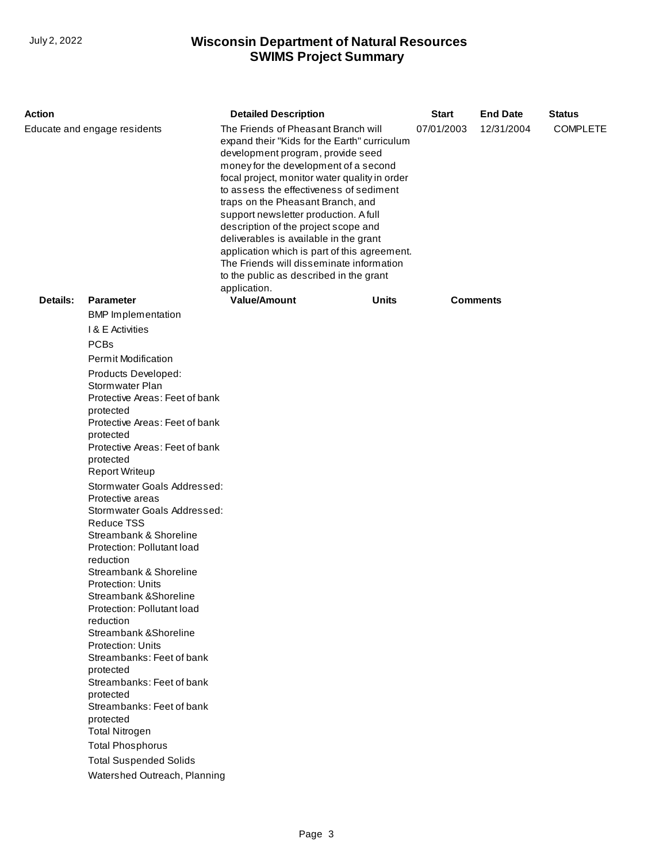## **SWIMS Project Summary** July 2, 2022 **Wisconsin Department of Natural Resources**

| Action                       |                                                       | <b>Detailed Description</b>                                                                                                                                                                                                                                                                                                                                                                                                                                                                                                                                                          | <b>Start</b> | <b>End Date</b> | <b>Status</b>   |  |
|------------------------------|-------------------------------------------------------|--------------------------------------------------------------------------------------------------------------------------------------------------------------------------------------------------------------------------------------------------------------------------------------------------------------------------------------------------------------------------------------------------------------------------------------------------------------------------------------------------------------------------------------------------------------------------------------|--------------|-----------------|-----------------|--|
| Educate and engage residents |                                                       | The Friends of Pheasant Branch will<br>expand their "Kids for the Earth" curriculum<br>development program, provide seed<br>money for the development of a second<br>focal project, monitor water quality in order<br>to assess the effectiveness of sediment<br>traps on the Pheasant Branch, and<br>support newsletter production. A full<br>description of the project scope and<br>deliverables is available in the grant<br>application which is part of this agreement.<br>The Friends will disseminate information<br>to the public as described in the grant<br>application. | 07/01/2003   | 12/31/2004      | <b>COMPLETE</b> |  |
| Details:                     | <b>Parameter</b>                                      | <b>Value/Amount</b>                                                                                                                                                                                                                                                                                                                                                                                                                                                                                                                                                                  | Units        |                 | <b>Comments</b> |  |
|                              | <b>BMP</b> Implementation                             |                                                                                                                                                                                                                                                                                                                                                                                                                                                                                                                                                                                      |              |                 |                 |  |
|                              | <b>1&amp; E Activities</b>                            |                                                                                                                                                                                                                                                                                                                                                                                                                                                                                                                                                                                      |              |                 |                 |  |
|                              | <b>PCBs</b>                                           |                                                                                                                                                                                                                                                                                                                                                                                                                                                                                                                                                                                      |              |                 |                 |  |
|                              | <b>Permit Modification</b>                            |                                                                                                                                                                                                                                                                                                                                                                                                                                                                                                                                                                                      |              |                 |                 |  |
|                              | Products Developed:<br>Stormwater Plan                |                                                                                                                                                                                                                                                                                                                                                                                                                                                                                                                                                                                      |              |                 |                 |  |
|                              | Protective Areas: Feet of bank                        |                                                                                                                                                                                                                                                                                                                                                                                                                                                                                                                                                                                      |              |                 |                 |  |
|                              | protected                                             |                                                                                                                                                                                                                                                                                                                                                                                                                                                                                                                                                                                      |              |                 |                 |  |
|                              | Protective Areas: Feet of bank                        |                                                                                                                                                                                                                                                                                                                                                                                                                                                                                                                                                                                      |              |                 |                 |  |
|                              | protected                                             |                                                                                                                                                                                                                                                                                                                                                                                                                                                                                                                                                                                      |              |                 |                 |  |
|                              | Protective Areas: Feet of bank<br>protected           |                                                                                                                                                                                                                                                                                                                                                                                                                                                                                                                                                                                      |              |                 |                 |  |
|                              | <b>Report Writeup</b>                                 |                                                                                                                                                                                                                                                                                                                                                                                                                                                                                                                                                                                      |              |                 |                 |  |
|                              | Stormwater Goals Addressed:                           |                                                                                                                                                                                                                                                                                                                                                                                                                                                                                                                                                                                      |              |                 |                 |  |
|                              | Protective areas                                      |                                                                                                                                                                                                                                                                                                                                                                                                                                                                                                                                                                                      |              |                 |                 |  |
|                              | Stormwater Goals Addressed:<br><b>Reduce TSS</b>      |                                                                                                                                                                                                                                                                                                                                                                                                                                                                                                                                                                                      |              |                 |                 |  |
|                              | Streambank & Shoreline                                |                                                                                                                                                                                                                                                                                                                                                                                                                                                                                                                                                                                      |              |                 |                 |  |
|                              | Protection: Pollutant load                            |                                                                                                                                                                                                                                                                                                                                                                                                                                                                                                                                                                                      |              |                 |                 |  |
|                              | reduction                                             |                                                                                                                                                                                                                                                                                                                                                                                                                                                                                                                                                                                      |              |                 |                 |  |
|                              | Streambank & Shoreline                                |                                                                                                                                                                                                                                                                                                                                                                                                                                                                                                                                                                                      |              |                 |                 |  |
|                              | Protection: Units<br>Streambank & Shoreline           |                                                                                                                                                                                                                                                                                                                                                                                                                                                                                                                                                                                      |              |                 |                 |  |
|                              | Protection: Pollutant load                            |                                                                                                                                                                                                                                                                                                                                                                                                                                                                                                                                                                                      |              |                 |                 |  |
|                              | reduction                                             |                                                                                                                                                                                                                                                                                                                                                                                                                                                                                                                                                                                      |              |                 |                 |  |
|                              | Streambank & Shoreline                                |                                                                                                                                                                                                                                                                                                                                                                                                                                                                                                                                                                                      |              |                 |                 |  |
|                              | <b>Protection: Units</b><br>Streambanks: Feet of bank |                                                                                                                                                                                                                                                                                                                                                                                                                                                                                                                                                                                      |              |                 |                 |  |
|                              | protected                                             |                                                                                                                                                                                                                                                                                                                                                                                                                                                                                                                                                                                      |              |                 |                 |  |
|                              | Streambanks: Feet of bank                             |                                                                                                                                                                                                                                                                                                                                                                                                                                                                                                                                                                                      |              |                 |                 |  |
|                              | protected                                             |                                                                                                                                                                                                                                                                                                                                                                                                                                                                                                                                                                                      |              |                 |                 |  |
|                              | Streambanks: Feet of bank                             |                                                                                                                                                                                                                                                                                                                                                                                                                                                                                                                                                                                      |              |                 |                 |  |
|                              | protected<br><b>Total Nitrogen</b>                    |                                                                                                                                                                                                                                                                                                                                                                                                                                                                                                                                                                                      |              |                 |                 |  |
|                              | <b>Total Phosphorus</b>                               |                                                                                                                                                                                                                                                                                                                                                                                                                                                                                                                                                                                      |              |                 |                 |  |
|                              | <b>Total Suspended Solids</b>                         |                                                                                                                                                                                                                                                                                                                                                                                                                                                                                                                                                                                      |              |                 |                 |  |
|                              | Watershed Outreach, Planning                          |                                                                                                                                                                                                                                                                                                                                                                                                                                                                                                                                                                                      |              |                 |                 |  |
|                              |                                                       |                                                                                                                                                                                                                                                                                                                                                                                                                                                                                                                                                                                      |              |                 |                 |  |